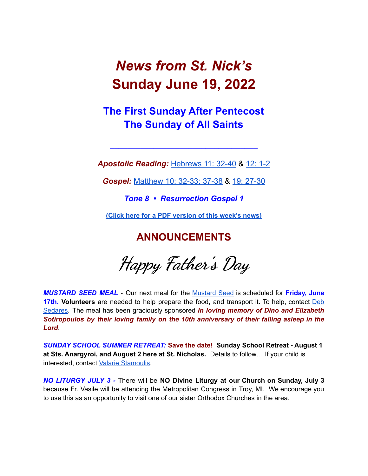# *News from St. Nick's* **Sunday June 19, 2022**

# **The First Sunday After Pentecost The Sunday of All Saints**

*Apostolic Reading:* [Hebrews](https://biblia.com/bible/esv/hebrews/11/32-40) 11: 32-40 & 12: [1-2](https://biblia.com/bible/esv/hebrews/12/1-2)

**\_\_\_\_\_\_\_\_\_\_\_\_\_\_\_\_\_\_\_\_\_\_\_\_\_\_\_\_\_\_\_\_\_\_**

*Gospel:* [Matthew](https://biblia.com/bible/esv/matthew/10/32-38) 10: 32-33; 37-38 & 19: [27-30](https://biblia.com/bible/esv/matthew/19/27-30)

*Tone 8 • Resurrection Gospel 1*

**(Click here for a PDF [version](http://www.stnicholaschurch.org/Images/News/2022-06-19.pdf) of this week's news)**

**ANNOUNCEMENTS**

**Happy Father '<sup>s</sup> Day**

*MUSTARD SEED MEAL* - Our next meal for the [Mustard](https://mustardseedcw.org/) Seed is scheduled for **Friday, June 17th. Volunteers** are needed to help prepare the food, and transport it. To help, contact [Deb](mailto:Dsedares@pinehills.com) [Sedares.](mailto:Dsedares@pinehills.com) The meal has been graciously sponsored *In loving memory of Dino and Elizabeth Sotiropoulos by their loving family on the 10th anniversary of their falling asleep in the Lord*.

*SUNDAY SCHOOL SUMMER RETREAT:* **Save the date! Sunday School Retreat - August 1 at Sts. Anargyroi, and August 2 here at St. Nicholas.** Details to follow….If your child is interested, contact Valarie [Stamoulis.](mailto:valarie.stamoulis@gmail.com)

*NO LITURGY JULY 3 -* There will be **NO Divine Liturgy at our Church on Sunday, July 3** because Fr. Vasile will be attending the Metropolitan Congress in Troy, MI. We encourage you to use this as an opportunity to visit one of our sister Orthodox Churches in the area.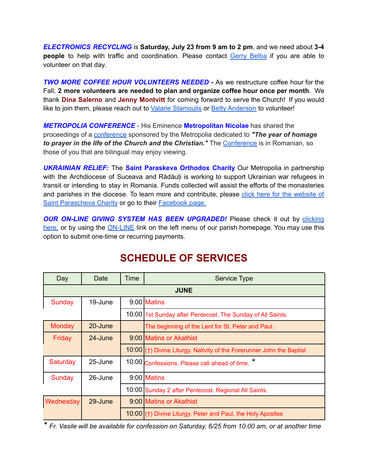*ELECTRONICS RECYCLING* is **Saturday, July 23 from 9 am to 2 pm**, and we need about **3-4 people** to help with traffic and coordination. Please contact Gerry [Belba](mailto:vgbelba@msn.com) if you are able to volunteer on that day.

*TWO MORE COFFEE HOUR VOLUNTEERS NEEDED -* As we restructure coffee hour for the Fall, **2 more volunteers are needed to plan and organize coffee hour once per month**. We thank **Dina Salerno** and **Jenny Montvitt** for coming forward to serve the Church! If you would like to join them, please reach out to Valarie [Stamoulis](mailto:valarie.stamoulis@gmail.com) or Betty [Anderson](mailto:bettya16@verizon.net) to volunteer!

*METROPOLIA CONFERENCE* - His Eminence **Metropolitan Nicolae** has shared the proceedings of a [conference](https://us02web.zoom.us/rec/share/6A7m_BqNcCqvWeWHaoHJ6e6xTFqZ9fj8Uv5AbIHeTXaNHx9gZeddOBiTKLMAaz2t.HHkYUkux7eSslR2m) sponsored by the Metropolia dedicated to *"The year of homage to prayer in the life of the Church and the Christian."* The [Conference](https://us02web.zoom.us/rec/share/6A7m_BqNcCqvWeWHaoHJ6e6xTFqZ9fj8Uv5AbIHeTXaNHx9gZeddOBiTKLMAaz2t.HHkYUkux7eSslR2m) is in Romanian, so those of you that are bilingual may enjoy viewing.

*UKRAINIAN RELIEF:* The **Saint Paraskeva Orthodox Charity** Our Metropolia in partnership with the Archdiocese of Suceava and Rădăuți is working to support Ukrainian war refugees in transit or intending to stay in Romania. Funds collected will assist the efforts of the monasteries and parishes in the diocese. To learn more and contribute, please click here for the [website](https://www.spcharity.org/) of Saint [Parascheva](https://www.spcharity.org/) Charity or go to their **[Facebook](https://www.facebook.com/donate/263166699318376/4935598499809637/) page.** 

*OUR ON-LINE GIVING SYSTEM HAS BEEN UPGRADED!* Please check it out by [clicking](https://giving.parishsoft.com/app/giving/stnicks) [here,](https://giving.parishsoft.com/app/giving/stnicks) or by using the **[ON-LINE](http://www.stnicholaschurch.org)** link on the left menu of our parish homepage. You may use this option to submit one-time or recurring payments.

| Day         | Date    | Time | Service Type                                                            |
|-------------|---------|------|-------------------------------------------------------------------------|
| <b>JUNE</b> |         |      |                                                                         |
| Sunday      | 19-June |      | 9:00 Matins                                                             |
|             |         |      | 10:00 1st Sunday after Pentecost. The Sunday of All Saints.             |
| Monday      | 20-June |      | The beginning of the Lent for St. Peter and Paul.                       |
| Friday      | 24-June |      | 9:00 Matins or Akathist                                                 |
|             |         |      | $10:00$ (†) Divine Liturgy. Nativity of the Forerunner John the Baptist |
| Saturday    | 25-June |      | 10:00 Confessions. Please call ahead of time.                           |
| Sunday      | 26-June |      | 9:00 Matins                                                             |
|             |         |      | 10:00 Sunday 2 after Pentecost. Regional All Saints.                    |
| Wednesday   | 29-June |      | 9:00 Matins or Akathist                                                 |
|             |         |      | 10:00 (†) Divine Liturgy. Peter and Paul, the Holy Apostles             |

# **SCHEDULE OF SERVICES**

*\* Fr. Vasile will be available for confession on Saturday, 6/25 from 10:00 am, or at another time*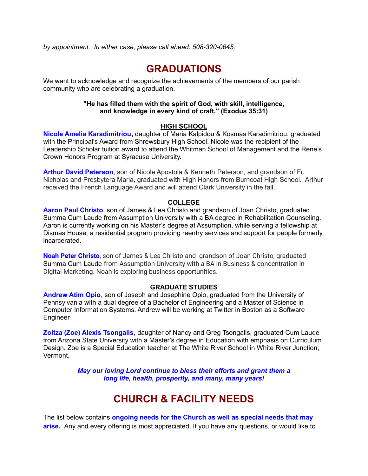*by appointment. In either case, please call ahead: 508-320-0645.*

## **GRADUATIONS**

We want to acknowledge and recognize the achievements of the members of our parish community who are celebrating a graduation.

#### **"He has filled them with the spirit of God, with skill, intelligence, and knowledge in every kind of craft." (Exodus 35:31)**

#### **HIGH SCHOOL**

**Nicole Amelia Karadimitriou,** daughter of Maria Kalpidou & Kosmas Karadimitriou, graduated with the Principal's Award from Shrewsbury High School. Nicole was the recipient of the Leadership Scholar tuition award to attend the Whitman School of Management and the Rene's Crown Honors Program at Syracuse University.

**Arthur David Peterson**, son of Nicole Apostola & Kenneth Peterson, and grandson of Fr. Nicholas and Presbytera Maria, graduated with High Honors from Burncoat High School. Arthur received the French Language Award and will attend Clark University in the fall.

#### **COLLEGE**

**Aaron Paul Christo**, son of James & Lea Christo and grandson of Joan Christo, graduated Summa Cum Laude from Assumption University with a BA degree in Rehabilitation Counseling. Aaron is currently working on his Master's degree at Assumption, while serving a fellowship at Dismas House, a residential program providing reentry services and support for people formerly incarcerated.

**Noah Peter Christo**, son of James & Lea Christo and grandson of Joan Christo, graduated Summa Cum Laude from Assumption University with a BA in Business & concentration in Digital Marketing. Noah is exploring business opportunities.

#### **GRADUATE STUDIES**

**Andrew Atim Opio**, son of Joseph and Josephine Opio, graduated from the University of Pennsylvania with a dual degree of a Bachelor of Engineering and a Master of Science in Computer Information Systems. Andrew will be working at Twitter in Boston as a Software Engineer

**Zoitza (Zoe) Alexis Tsongalis**, daughter of Nancy and Greg Tsongalis, graduated Cum Laude from Arizona State University with a Master's degree in Education with emphasis on Curriculum Design. Zoe is a Special Education teacher at The White River School in White River Junction, Vermont.

> *May our loving Lord continue to bless their efforts and grant them a long life, health, prosperity, and many, many years!*

# **CHURCH & FACILITY NEEDS**

The list below contains **ongoing needs for the Church as well as special needs that may** arise. Any and every offering is most appreciated. If you have any questions, or would like to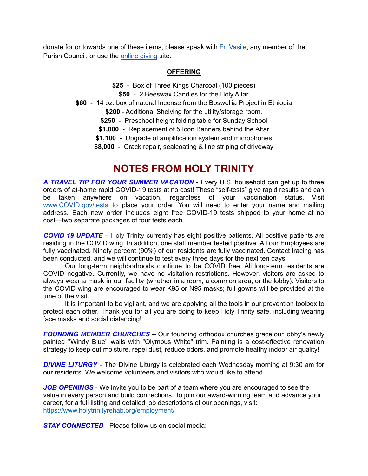donate for or towards one of these items, please speak with Fr. [Vasile](mailto:fr.vasileaileni@gmail.com), any member of the Parish Council, or use the [online](https://giving.parishsoft.com/app/giving/stnicks) giving site.

#### **OFFERING**

- **\$25** Box of Three Kings Charcoal (100 pieces)
	- **\$50** 2 Beeswax Candles for the Holy Altar
- **\$60** 14 oz. box of natural Incense from the Boswellia Project in Ethiopia

**\$200** - Additional Shelving for the utility/storage room.

- **\$250** Preschool height folding table for Sunday School
- **\$1,000** Replacement of 5 Icon Banners behind the Altar
- **\$1,100** Upgrade of amplification system and microphones
- **\$8,000** Crack repair, sealcoating & line striping of driveway

### **NOTES FROM HOLY TRINITY**

*A TRAVEL TIP FOR YOUR SUMMER VACATION* - Every U.S. household can get up to three orders of at-home rapid COVID-19 tests at no cost! These "self-tests" give rapid results and can be taken anywhere on vacation, regardless of your vaccination status. Visit [www.COVID.gov/tests](http://www.covid.gov/tests) to place your order. You will need to enter your name and mailing address. Each new order includes eight free COVID-19 tests shipped to your home at no cost—two separate packages of four tests each.

*COVID 19 UPDATE* – Holy Trinity currently has eight positive patients. All positive patients are residing in the COVID wing. In addition, one staff member tested positive. All our Employees are fully vaccinated. Ninety percent (90%) of our residents are fully vaccinated. Contact tracing has been conducted, and we will continue to test every three days for the next ten days.

Our long-term neighborhoods continue to be COVID free. All long-term residents are COVID negative. Currently, we have no visitation restrictions. However, visitors are asked to always wear a mask in our facility (whether in a room, a common area, or the lobby). Visitors to the COVID wing are encouraged to wear K95 or N95 masks; full gowns will be provided at the time of the visit.

It is important to be vigilant, and we are applying all the tools in our prevention toolbox to protect each other. Thank you for all you are doing to keep Holy Trinity safe, including wearing face masks and social distancing!

*FOUNDING MEMBER CHURCHES* – Our founding orthodox churches grace our lobby's newly painted "Windy Blue" walls with "Olympus White" trim. Painting is a cost-effective renovation strategy to keep out moisture, repel dust, reduce odors, and promote healthy indoor air quality!

*DIVINE LITURGY* - The Divine Liturgy is celebrated each Wednesday morning at 9:30 am for our residents. We welcome volunteers and visitors who would like to attend.

*JOB OPENINGS* - We invite you to be part of a team where you are encouraged to see the value in every person and build connections. To join our award-winning team and advance your career, for a full listing and detailed job descriptions of our openings, visit: <https://www.holytrinityrehab.org/employment/>

*STAY CONNECTED* - Please follow us on social media: